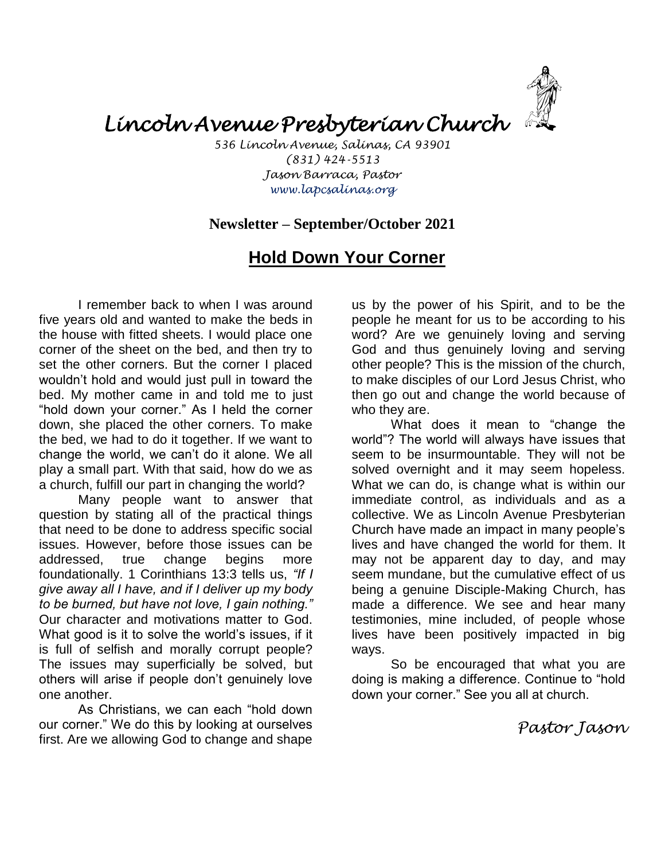*Lincoln Avenue Presbyterian Church* 

*536 Lincoln Avenue, Salinas, CA 93901 (831) 424-5513 Jason Barraca, Pastor www.lapcsalinas.org*

### **Newsletter – September/October 2021**

# **Hold Down Your Corner**

I remember back to when I was around five years old and wanted to make the beds in the house with fitted sheets. I would place one corner of the sheet on the bed, and then try to set the other corners. But the corner I placed wouldn't hold and would just pull in toward the bed. My mother came in and told me to just "hold down your corner." As I held the corner down, she placed the other corners. To make the bed, we had to do it together. If we want to change the world, we can't do it alone. We all play a small part. With that said, how do we as a church, fulfill our part in changing the world?

Many people want to answer that question by stating all of the practical things that need to be done to address specific social issues. However, before those issues can be addressed, true change begins more foundationally. 1 Corinthians 13:3 tells us, *"If I give away all I have, and if I deliver up my body to be burned, but have not love, I gain nothing."* Our character and motivations matter to God. What good is it to solve the world's issues, if it is full of selfish and morally corrupt people? The issues may superficially be solved, but others will arise if people don't genuinely love one another.

As Christians, we can each "hold down our corner." We do this by looking at ourselves first. Are we allowing God to change and shape

us by the power of his Spirit, and to be the people he meant for us to be according to his word? Are we genuinely loving and serving God and thus genuinely loving and serving other people? This is the mission of the church, to make disciples of our Lord Jesus Christ, who then go out and change the world because of who they are.

What does it mean to "change the world"? The world will always have issues that seem to be insurmountable. They will not be solved overnight and it may seem hopeless. What we can do, is change what is within our immediate control, as individuals and as a collective. We as Lincoln Avenue Presbyterian Church have made an impact in many people's lives and have changed the world for them. It may not be apparent day to day, and may seem mundane, but the cumulative effect of us being a genuine Disciple-Making Church, has made a difference. We see and hear many testimonies, mine included, of people whose lives have been positively impacted in big ways.

So be encouraged that what you are doing is making a difference. Continue to "hold down your corner." See you all at church.

*Pastor Jason*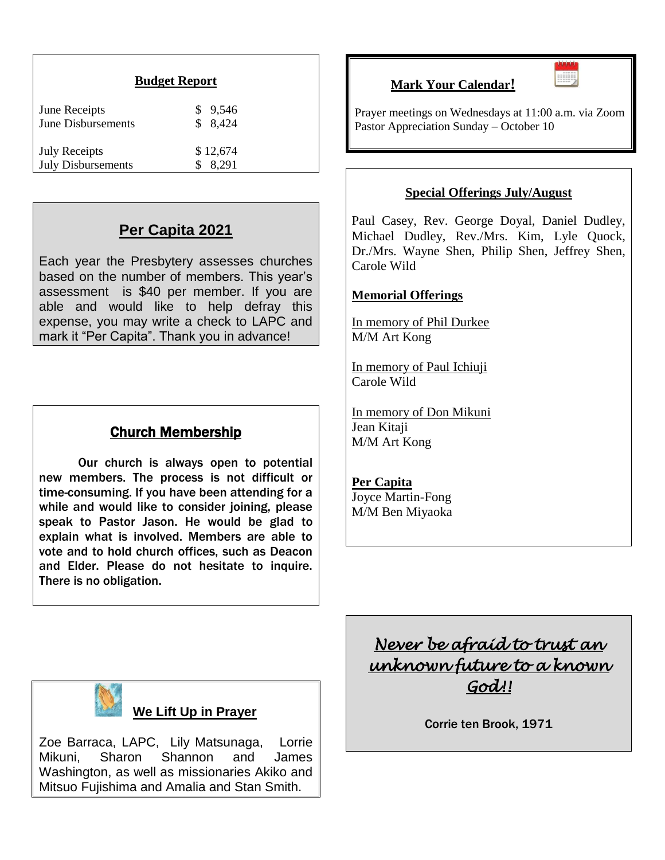| June Receipts             | \$ 9.546 |
|---------------------------|----------|
| <b>June Disbursements</b> | \$8,424  |
| <b>July Receipts</b>      | \$12,674 |
| <b>July Disbursements</b> | 8.291    |

## **Per Capita 2021**

Each year the Presbytery assesses churches based on the number of members. This year's assessment is \$40 per member. If you are able and would like to help defray this expense, you may write a check to LAPC and mark it "Per Capita". Thank you in advance!

## Church Membership

Our church is always open to potential new members. The process is not difficult or time-consuming. If you have been attending for a while and would like to consider joining, please speak to Pastor Jason. He would be glad to explain what is involved. Members are able to vote and to hold church offices, such as Deacon and Elder. Please do not hesitate to inquire. There is no obligation.

**Mark Your Calendar!**



Prayer meetings on Wednesdays at 11:00 a.m. via Zoom Pastor Appreciation Sunday – October 10

#### **Special Offerings July/August**

Paul Casey, Rev. George Doyal, Daniel Dudley, Michael Dudley, Rev./Mrs. Kim, Lyle Quock, Dr./Mrs. Wayne Shen, Philip Shen, Jeffrey Shen, Carole Wild

#### **Memorial Offerings**

In memory of Phil Durkee M/M Art Kong

In memory of Paul Ichiuji Carole Wild

In memory of Don Mikuni Jean Kitaji M/M Art Kong

#### **Per Capita**

Joyce Martin-Fong M/M Ben Miyaoka



### **We Lift Up in Prayer**

Zoe Barraca, LAPC, Lily Matsunaga, Lorrie Mikuni, Sharon Shannon and James Washington, as well as missionaries Akiko and Mitsuo Fujishima and Amalia and Stan Smith.

*Never be afraid to trust an unknown future to a known God!!* 

Corrie ten Brook, 1971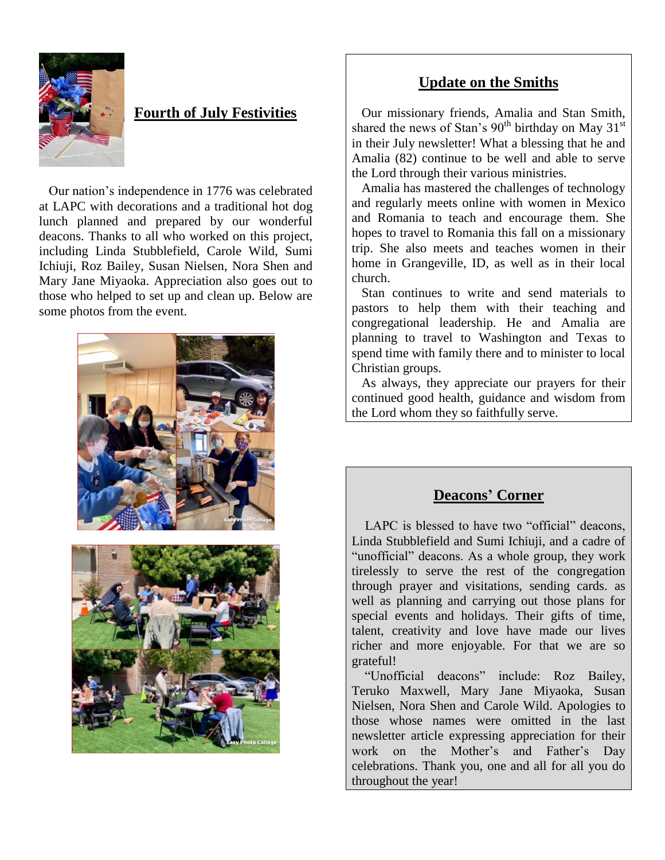

## **Fourth of July Festivities**

 Our nation's independence in 1776 was celebrated at LAPC with decorations and a traditional hot dog lunch planned and prepared by our wonderful deacons. Thanks to all who worked on this project, including Linda Stubblefield, Carole Wild, Sumi Ichiuji, Roz Bailey, Susan Nielsen, Nora Shen and Mary Jane Miyaoka. Appreciation also goes out to those who helped to set up and clean up. Below are some photos from the event.



### **Update on the Smiths**

 Our missionary friends, Amalia and Stan Smith, shared the news of Stan's  $90^{th}$  birthday on May 31st in their July newsletter! What a blessing that he and Amalia (82) continue to be well and able to serve the Lord through their various ministries.

 Amalia has mastered the challenges of technology and regularly meets online with women in Mexico and Romania to teach and encourage them. She hopes to travel to Romania this fall on a missionary trip. She also meets and teaches women in their home in Grangeville, ID, as well as in their local church.

 Stan continues to write and send materials to pastors to help them with their teaching and congregational leadership. He and Amalia are planning to travel to Washington and Texas to spend time with family there and to minister to local Christian groups.

 As always, they appreciate our prayers for their continued good health, guidance and wisdom from the Lord whom they so faithfully serve.

### **Deacons' Corner**

LAPC is blessed to have two "official" deacons, Linda Stubblefield and Sumi Ichiuji, and a cadre of "unofficial" deacons. As a whole group, they work tirelessly to serve the rest of the congregation through prayer and visitations, sending cards. as well as planning and carrying out those plans for special events and holidays. Their gifts of time, talent, creativity and love have made our lives richer and more enjoyable. For that we are so grateful!

 "Unofficial deacons" include: Roz Bailey, Teruko Maxwell, Mary Jane Miyaoka, Susan Nielsen, Nora Shen and Carole Wild. Apologies to those whose names were omitted in the last newsletter article expressing appreciation for their work on the Mother's and Father's Day celebrations. Thank you, one and all for all you do throughout the year!